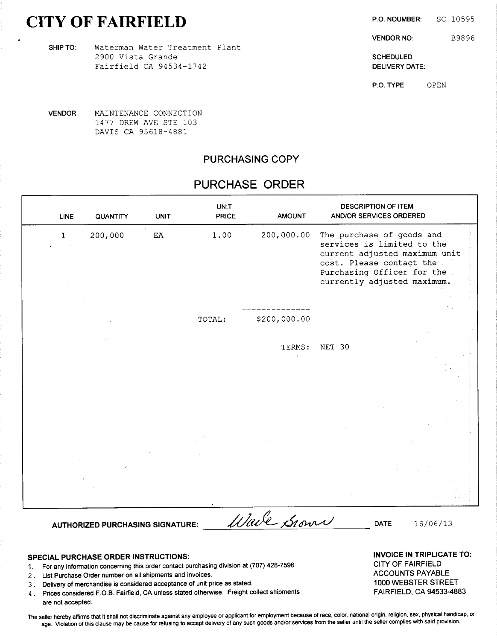# CITY OF FAIRFIELD P.O. NOUMBER: SC 10595

VENDOR NO: B9896

2900 Vista Grande Schepule Base of the Schepule Schepule Schepule Schepule Schepule Schepule Schepule Schepule Fairfield CA 94534-1742 **DELIVERY DATE:** 

P.O. TYPE: OPEN

VENDOR: MAINTENANCE CONNECTION 1477 DREW AVE STE 103 DAVIS CA 95618- 4881

SHIP TO: Waterman Water Treatment Plant

#### PURCHASING COPY

## PURCHASE ORDER

| <b>LINE</b>  | QUANTITY | <b>UNIT</b> | <b>UNIT</b><br><b>PRICE</b> | <b>AMOUNT</b> | <b>DESCRIPTION OF ITEM</b><br>AND/OR SERVICES ORDERED                                   |
|--------------|----------|-------------|-----------------------------|---------------|-----------------------------------------------------------------------------------------|
| $\mathbf{1}$ | 200,000  | EA          | 1.00                        | 200,000.00    | The purchase of goods and<br>services is limited to the                                 |
|              |          |             |                             |               | current adjusted maximum unit<br>cost. Please contact the<br>Purchasing Officer for the |
|              |          |             |                             |               | currently adjusted maximum.                                                             |
|              |          |             |                             |               |                                                                                         |
|              |          |             | TOTAL:                      | \$200,000.00  |                                                                                         |
|              |          |             |                             | TERMS:        | NET 30                                                                                  |
|              |          |             |                             |               |                                                                                         |
|              |          |             |                             |               |                                                                                         |
|              |          |             |                             |               |                                                                                         |
|              |          |             |                             |               |                                                                                         |
|              |          |             |                             |               |                                                                                         |
|              |          |             |                             |               |                                                                                         |
|              |          |             |                             |               |                                                                                         |
|              |          |             |                             |               |                                                                                         |
|              |          |             |                             |               |                                                                                         |

- SPECIAL PURCHASE ORDER INSTRUCTIONS:<br>1. Escapy information concerning this order contect purchasing division at (707) 428-7596 CITY OF FAIRFIELD 1. For any information concerning this order contact purchasing division at (707) 428-7596 CITY OF FAIRFIELD<br>2. List Purchase Order number on all shipments and invoices.
- 2. List Purchase Order number on all shipments and invoices.<br>3. Delivery of merchandise is considered acceptance of unit price as stated. AccOUNTS PAYABLE 1000 WEBSTER STREET
- 
- 3. Delivery of merchandise is considered acceptance of unit price as stated. 1000 WEBSTER STREET 1000 WEBSTER<br>3. Prices considered F.O.B. Fairfield, CA unless stated otherwise. Freight collect shipments [1000 FAIRFIELD, CA 4. Prices considered F.O.B. Fairfield, CA unless stated otherwise. Freight collect shipments are not accepted.

The seller hereby affirms that it shall not discriminate against any employee or applicant for employment because of race, color, national origin, religion, sex, physical handicap, or age. Violation of this clause may be cause for refusing to accept delivery of any such goods and/or services from the seller until the seller complies with said provision.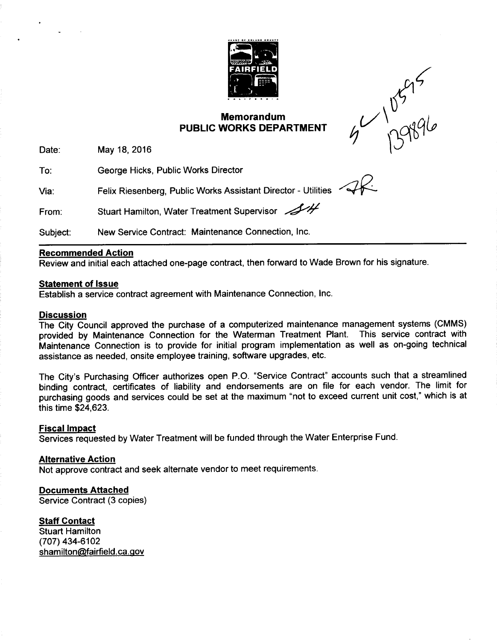

### Memorandum  $\begin{pmatrix} 1 & 1 \\ 1 & 0 \end{pmatrix}$ PUBLIC WORKS DEPARTMENT

 $\zeta$  $1$  ng

Date: May 18, 2016

To: George Hicks, Public Works Director

Via: Felix Riesenberg, Public Works Assistant Director - Utilities

From: Stuart Hamilton, Water Treatment Supervisor

Subject: New Service Contract: Maintenance Connection, Inc.

#### Recommended Action

Review and initial each attached one-page contract, then forward to Wade Brown for his signature.

#### Statement of Issue

Establish a service contract agreement with Maintenance Connection, Inc.

#### **Discussion**

The City Council approved the purchase of a computerized maintenance management systems ( CMMS) provided by Maintenance Connection for the Waterman Treatment Plant. This service contract with Maintenance Connection is to provide for initial program implementation as well as on-going technical assistance as needed, onsite employee training, software upgrades, etc.

The City's Purchasing Officer authorizes open P.O. "Service Contract" accounts such that a streamlined binding contract, certificates of liability and endorsements are on file for each vendor. The limit for purchasing goods and services could be set at the maximum "not to exceed current unit cost," which is at this time \$24,623.

### Fiscal Impact

Services requested by Water Treatment will be funded through the Water Enterprise Fund.

### Alternative Action

Not approve contract and seek alternate vendor to meet requirements.

### Documents Attached

Service Contract (3 copies)

### **Staff Contact**

Stuart Hamilton 707) 434-6102 shamilton@fairfield.ca.gov